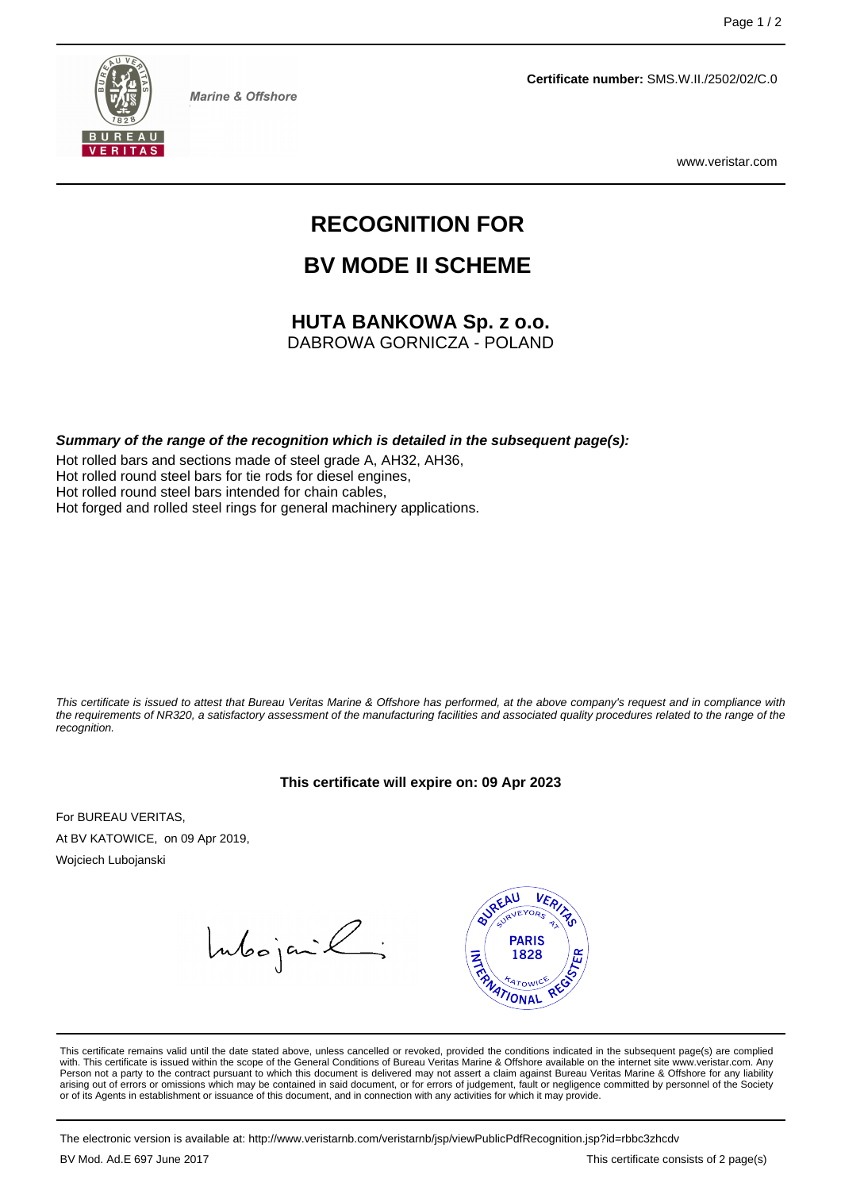

**Marine & Offshore** 

**Certificate number:** SMS.W.II./2502/02/C.0

www.veristar.com

# **RECOGNITION FOR**

# **BV MODE II SCHEME**

## **HUTA BANKOWA Sp. z o.o.**

DABROWA GORNICZA - POLAND

**Summary of the range of the recognition which is detailed in the subsequent page(s):**

Hot rolled bars and sections made of steel grade A, AH32, AH36, Hot rolled round steel bars for tie rods for diesel engines, Hot rolled round steel bars intended for chain cables, Hot forged and rolled steel rings for general machinery applications.

This certificate is issued to attest that Bureau Veritas Marine & Offshore has performed, at the above company's request and in compliance with the requirements of NR320, a satisfactory assessment of the manufacturing facilities and associated quality procedures related to the range of the recognition.

#### **This certificate will expire on: 09 Apr 2023**

For BUREAU VERITAS, At BV KATOWICE, on 09 Apr 2019, Wojciech Lubojanski

Intoojanik;



This certificate remains valid until the date stated above, unless cancelled or revoked, provided the conditions indicated in the subsequent page(s) are complied with. This certificate is issued within the scope of the General Conditions of Bureau Veritas Marine & Offshore available on the internet site www.veristar.com. Any Person not a party to the contract pursuant to which this document is delivered may not assert a claim against Bureau Veritas Marine & Offshore for any liability arising out of errors or omissions which may be contained in said document, or for errors of judgement, fault or negligence committed by personnel of the Society<br>or of its Agents in establishment or issuance of this docume